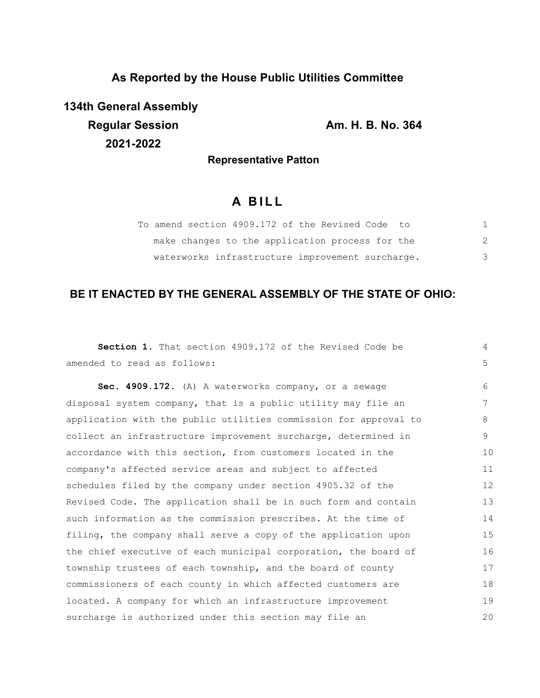# **As Reported by the House Public Utilities Committee**

**134th General Assembly Regular Session Am. H. B. No. 364 2021-2022**

## **Representative Patton**

# **A B I L L**

| To amend section 4909.172 of the Revised Code to |   |
|--------------------------------------------------|---|
| make changes to the application process for the  | 2 |
| waterworks infrastructure improvement surcharge. | 3 |

# **BE IT ENACTED BY THE GENERAL ASSEMBLY OF THE STATE OF OHIO:**

| Section 1. That section 4909.172 of the Revised Code be          | $\overline{4}$ |
|------------------------------------------------------------------|----------------|
| amended to read as follows:                                      | 5              |
| Sec. 4909.172. (A) A waterworks company, or a sewage             | 6              |
| disposal system company, that is a public utility may file an    | 7              |
| application with the public utilities commission for approval to | 8              |
| collect an infrastructure improvement surcharge, determined in   | 9              |
| accordance with this section, from customers located in the      | 10             |
| company's affected service areas and subject to affected         | 11             |
| schedules filed by the company under section 4905.32 of the      | 12             |
| Revised Code. The application shall be in such form and contain  | 13             |
| such information as the commission prescribes. At the time of    | 14             |
| filing, the company shall serve a copy of the application upon   | 15             |
| the chief executive of each municipal corporation, the board of  | 16             |
| township trustees of each township, and the board of county      | 17             |
| commissioners of each county in which affected customers are     | 18             |
| located. A company for which an infrastructure improvement       | 19             |
| surcharge is authorized under this section may file an           | 20             |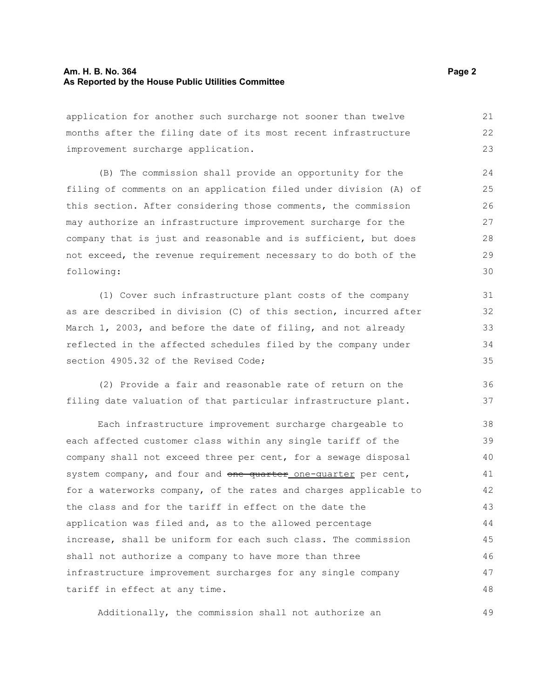#### **Am. H. B. No. 364** Page 2 **Page 2 As Reported by the House Public Utilities Committee**

application for another such surcharge not sooner than twelve months after the filing date of its most recent infrastructure improvement surcharge application. 21 22 23

(B) The commission shall provide an opportunity for the filing of comments on an application filed under division (A) of this section. After considering those comments, the commission may authorize an infrastructure improvement surcharge for the company that is just and reasonable and is sufficient, but does not exceed, the revenue requirement necessary to do both of the following: 24 25 26 27 28 29 30

(1) Cover such infrastructure plant costs of the company as are described in division (C) of this section, incurred after March 1, 2003, and before the date of filing, and not already reflected in the affected schedules filed by the company under section 4905.32 of the Revised Code:

(2) Provide a fair and reasonable rate of return on the filing date valuation of that particular infrastructure plant.

Each infrastructure improvement surcharge chargeable to each affected customer class within any single tariff of the company shall not exceed three per cent, for a sewage disposal system company, and four and one quarter one-quarter per cent, for a waterworks company, of the rates and charges applicable to the class and for the tariff in effect on the date the application was filed and, as to the allowed percentage increase, shall be uniform for each such class. The commission shall not authorize a company to have more than three infrastructure improvement surcharges for any single company tariff in effect at any time. 38 39 40 41 42 43 44 45 46 47 48

Additionally, the commission shall not authorize an

36 37

49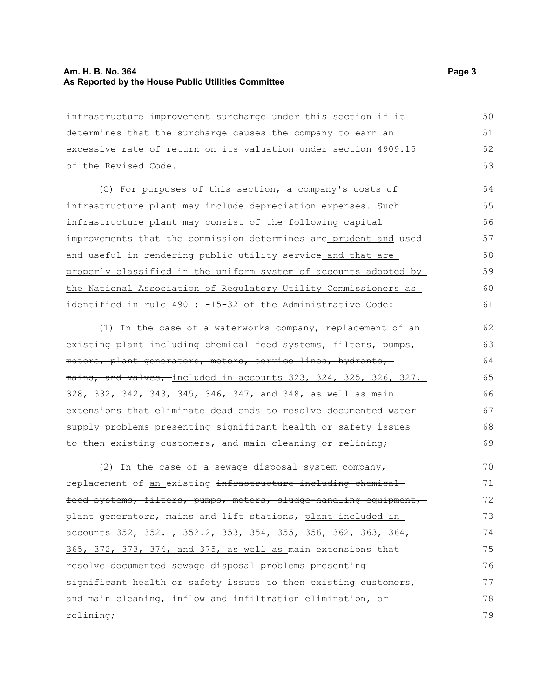#### **Am. H. B. No. 364** Page 3 **As Reported by the House Public Utilities Committee**

infrastructure improvement surcharge under this section if it determines that the surcharge causes the company to earn an excessive rate of return on its valuation under section 4909.15 of the Revised Code. 50 51 52 53

(C) For purposes of this section, a company's costs of infrastructure plant may include depreciation expenses. Such infrastructure plant may consist of the following capital improvements that the commission determines are prudent and used and useful in rendering public utility service and that are properly classified in the uniform system of accounts adopted by the National Association of Regulatory Utility Commissioners as identified in rule 4901:1-15-32 of the Administrative Code: 54 55 56 57 58 59 60 61

(1) In the case of a waterworks company, replacement of an existing plant including chemical feed systems, filters, pumps, motors, plant generators, meters, service lines, hydrants, mains, and valves, included in accounts 323, 324, 325, 326, 327, 328, 332, 342, 343, 345, 346, 347, and 348, as well as main extensions that eliminate dead ends to resolve documented water supply problems presenting significant health or safety issues to then existing customers, and main cleaning or relining; 62 63 64 65 66 67 68 69

(2) In the case of a sewage disposal system company, replacement of an existing infrastructure including chemical feed systems, filters, pumps, motors, sludge-handling equipment, plant generators, mains and lift stations, plant included in accounts 352, 352.1, 352.2, 353, 354, 355, 356, 362, 363, 364, 365, 372, 373, 374, and 375, as well as main extensions that resolve documented sewage disposal problems presenting significant health or safety issues to then existing customers, and main cleaning, inflow and infiltration elimination, or relining; 70 71 72 73 74 75 76 77 78 79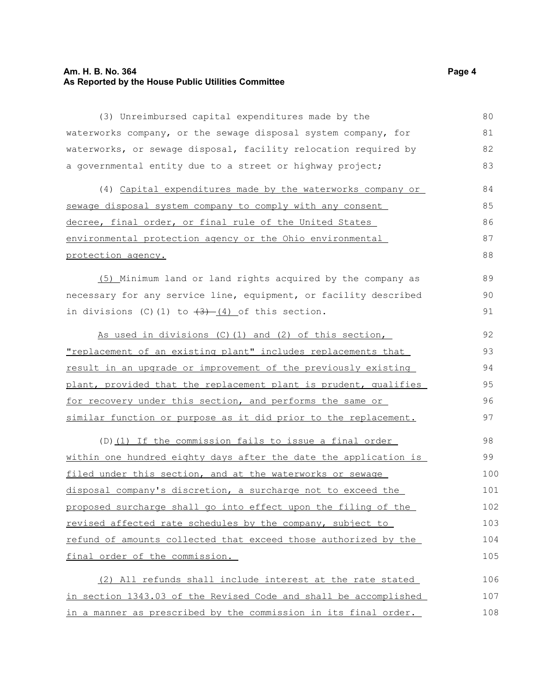## **Am. H. B. No. 364** Page 4 **As Reported by the House Public Utilities Committee**

| (3) Unreimbursed capital expenditures made by the                    | 80  |  |
|----------------------------------------------------------------------|-----|--|
|                                                                      | 81  |  |
| waterworks company, or the sewage disposal system company, for       |     |  |
| waterworks, or sewage disposal, facility relocation required by      | 82  |  |
| a governmental entity due to a street or highway project;            | 83  |  |
| (4) Capital expenditures made by the waterworks company or           | 84  |  |
| sewage disposal system company to comply with any consent            | 85  |  |
| decree, final order, or final rule of the United States              |     |  |
| environmental protection agency or the Ohio environmental            | 87  |  |
| protection agency.                                                   | 88  |  |
| (5) Minimum land or land rights acquired by the company as           | 89  |  |
| necessary for any service line, equipment, or facility described     | 90  |  |
| in divisions $(C) (1)$ to $\overline{(3)}$ (4) of this section.      | 91  |  |
| As used in divisions (C) (1) and (2) of this section,                | 92  |  |
| <u>"replacement of an existing plant" includes replacements that</u> | 93  |  |
| result in an upgrade or improvement of the previously existing       | 94  |  |
| plant, provided that the replacement plant is prudent, qualifies     |     |  |
| for recovery under this section, and performs the same or            |     |  |
| similar function or purpose as it did prior to the replacement.      | 97  |  |
| (D) (1) If the commission fails to issue a final order               | 98  |  |
| within one hundred eighty days after the date the application is     | 99  |  |
| filed under this section, and at the waterworks or sewage            | 100 |  |
| disposal company's discretion, a surcharge not to exceed the         | 101 |  |
| proposed surcharge shall go into effect upon the filing of the       | 102 |  |
| revised affected rate schedules by the company, subject to           | 103 |  |
| refund of amounts collected that exceed those authorized by the      | 104 |  |
| final order of the commission.                                       | 105 |  |
| (2) All refunds shall include interest at the rate stated            | 106 |  |
| in section 1343.03 of the Revised Code and shall be accomplished     | 107 |  |
| in a manner as prescribed by the commission in its final order.      | 108 |  |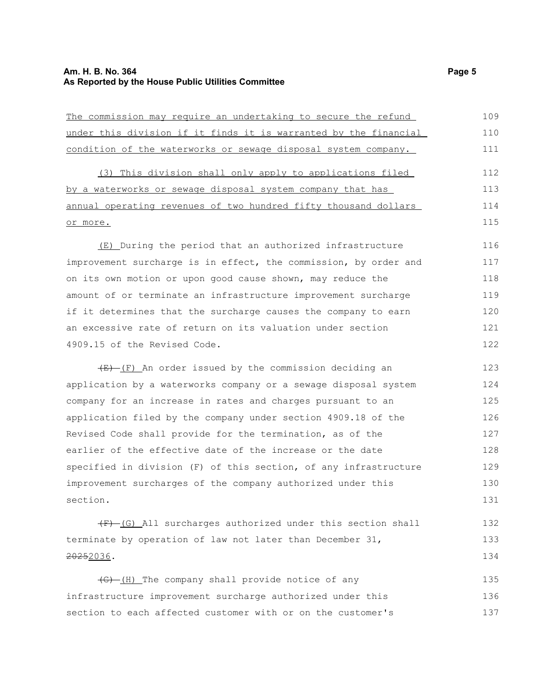## **Am. H. B. No. 364 Page 5 As Reported by the House Public Utilities Committee**

| The commission may require an undertaking to secure the refund         | 109 |
|------------------------------------------------------------------------|-----|
| under this division if it finds it is warranted by the financial       | 110 |
| condition of the waterworks or sewage disposal system company.         | 111 |
| (3) This division shall only apply to applications filed               | 112 |
| by a waterworks or sewage disposal system company that has             | 113 |
| annual operating revenues of two hundred fifty thousand dollars        | 114 |
| or more.                                                               | 115 |
| (E) During the period that an authorized infrastructure                | 116 |
| improvement surcharge is in effect, the commission, by order and       | 117 |
| on its own motion or upon good cause shown, may reduce the             | 118 |
| amount of or terminate an infrastructure improvement surcharge         | 119 |
| if it determines that the surcharge causes the company to earn         | 120 |
| an excessive rate of return on its valuation under section             | 121 |
| 4909.15 of the Revised Code.                                           | 122 |
| $\overline{E}$ (F) An order issued by the commission deciding an       | 123 |
| application by a waterworks company or a sewage disposal system        | 124 |
| company for an increase in rates and charges pursuant to an            | 125 |
| application filed by the company under section 4909.18 of the          | 126 |
| Revised Code shall provide for the termination, as of the              | 127 |
| earlier of the effective date of the increase or the date              | 128 |
| specified in division (F) of this section, of any infrastructure       | 129 |
| improvement surcharges of the company authorized under this            | 130 |
| section.                                                               | 131 |
| (F) (G) All surcharges authorized under this section shall             | 132 |
| terminate by operation of law not later than December 31,              | 133 |
| <del>2025</del> 2036.                                                  | 134 |
| $\left(\frac{1}{6}\right)$ (H) The company shall provide notice of any | 135 |
| infrastructure improvement surcharge authorized under this             | 136 |

section to each affected customer with or on the customer's

137